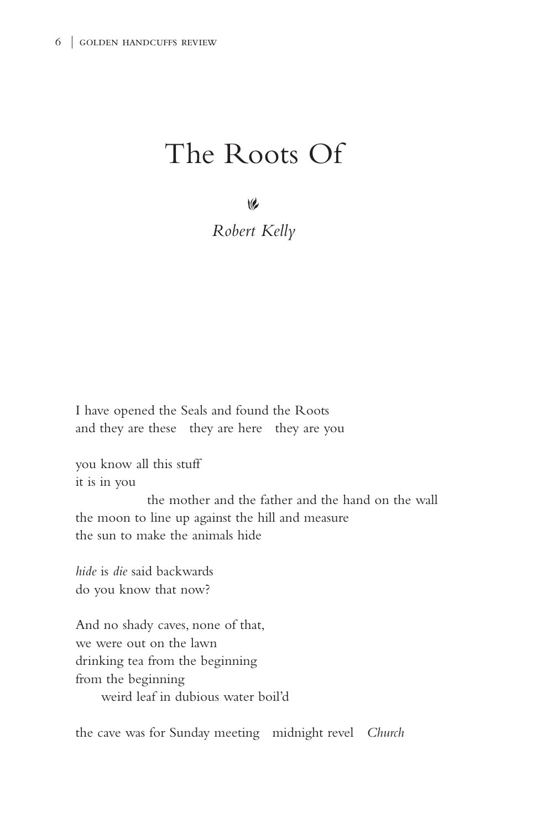## The Roots Of

 $\vee$ 

*Robert Kelly*

I have opened the Seals and found the Roots and they are these they are here they are you

you know all this stuff it is in you

 the mother and the father and the hand on the wall the moon to line up against the hill and measure the sun to make the animals hide

*hide* is *die* said backwards do you know that now?

And no shady caves, none of that, we were out on the lawn drinking tea from the beginning from the beginning weird leaf in dubious water boil'd

the cave was for Sunday meeting midnight revel *Church*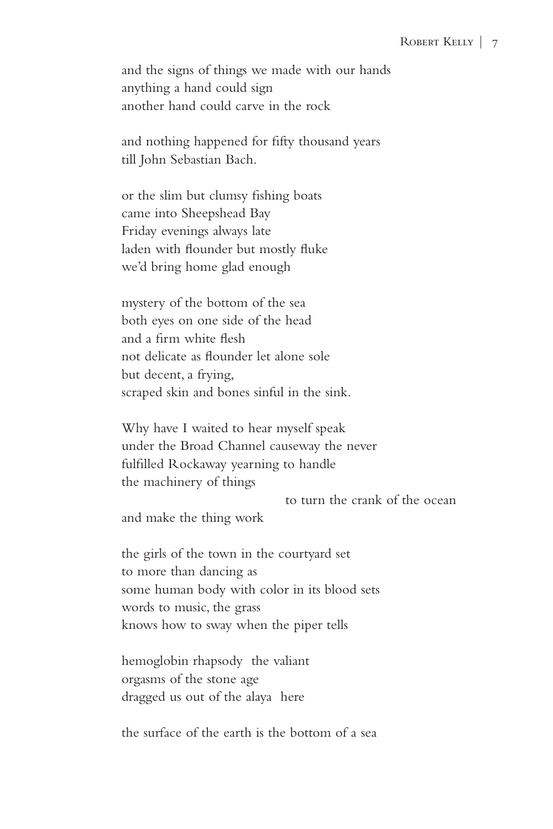and the signs of things we made with our hands anything a hand could sign another hand could carve in the rock

and nothing happened for fifty thousand years till John Sebastian Bach.

or the slim but clumsy fishing boats came into Sheepshead Bay Friday evenings always late laden with flounder but mostly fluke we'd bring home glad enough

mystery of the bottom of the sea both eyes on one side of the head and a firm white flesh not delicate as flounder let alone sole but decent, a frying, scraped skin and bones sinful in the sink.

Why have I waited to hear myself speak under the Broad Channel causeway the never fulfilled Rockaway yearning to handle the machinery of things

to turn the crank of the ocean

and make the thing work

the girls of the town in the courtyard set to more than dancing as some human body with color in its blood sets words to music, the grass knows how to sway when the piper tells

hemoglobin rhapsody the valiant orgasms of the stone age dragged us out of the alaya here

the surface of the earth is the bottom of a sea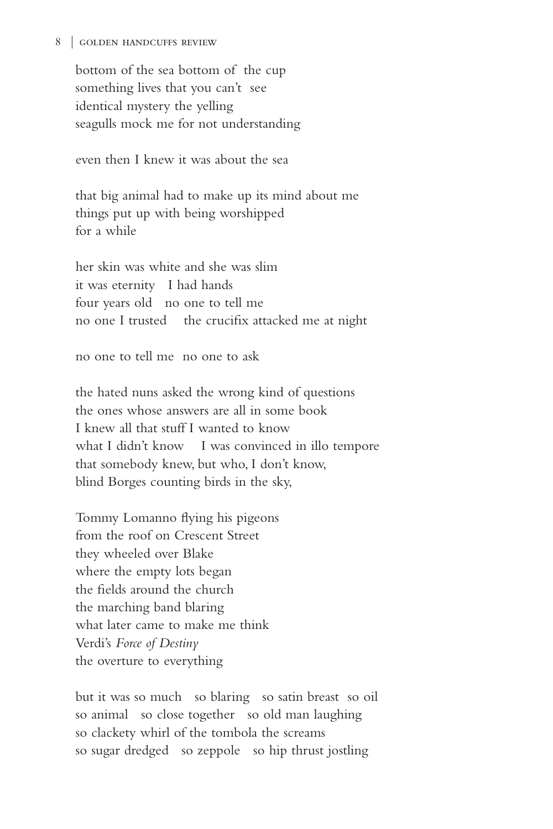## 8 | golden handcuffs review

bottom of the sea bottom of the cup something lives that you can't see identical mystery the yelling seagulls mock me for not understanding

even then I knew it was about the sea

that big animal had to make up its mind about me things put up with being worshipped for a while

her skin was white and she was slim it was eternity I had hands four years old no one to tell me no one I trusted the crucifix attacked me at night

no one to tell me no one to ask

the hated nuns asked the wrong kind of questions the ones whose answers are all in some book I knew all that stuff I wanted to know what I didn't know I was convinced in illo tempore that somebody knew, but who, I don't know, blind Borges counting birds in the sky,

Tommy Lomanno flying his pigeons from the roof on Crescent Street they wheeled over Blake where the empty lots began the fields around the church the marching band blaring what later came to make me think Verdi's *Force of Destiny* the overture to everything

but it was so much so blaring so satin breast so oil so animal so close together so old man laughing so clackety whirl of the tombola the screams so sugar dredged so zeppole so hip thrust jostling